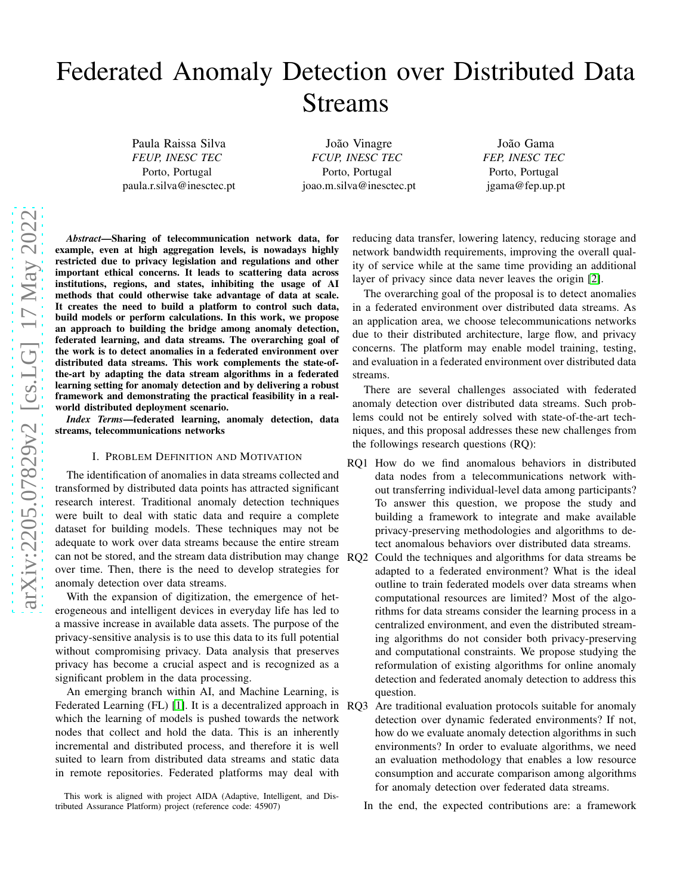# Federated Anomaly Detection over Distributed Data Streams

Paula Raissa Silva *FEUP, INESC TEC* Porto, Portugal paula.r.silva@inesctec.pt

João Vinagre *FCUP, INESC TEC* Porto, Portugal joao.m.silva@inesctec.pt

João Gama *FEP, INESC TEC* Porto, Portugal jgama@fep.up.pt

*Abstract*—Sharing of telecommunication network data, for example, even at high aggregation levels, is nowadays highly restricted due to privacy legislation and regulations and other important ethical concerns. It leads to scattering data across institutions, regions, and states, inhibiting the usage of AI methods that could otherwise take advantage of data at scale. It creates the need to build a platform to control such data, build models or perform calculations. In this work, we propose an approach to building the bridge among anomaly detection, federated learning, and data streams. The overarching goal of the work is to detect anomalies in a federated environment over distributed data streams. This work complements the state-ofthe-art by adapting the data stream algorithms in a federated learning setting for anomaly detection and by delivering a robust framework and demonstrating the practical feasibility in a realworld distributed deployment scenario.

*Index Terms*—federated learning, anomaly detection, data streams, telecommunications networks

## I. PROBLEM DEFINITION AND MOTIVATION

The identification of anomalies in data streams collected and transformed by distributed data points has attracted significant research interest. Traditional anomaly detection techniques were built to deal with static data and require a complete dataset for building models. These techniques may not be adequate to work over data streams because the entire stream can not be stored, and the stream data distribution may change over time. Then, there is the need to develop strategies for anomaly detection over data streams.

With the expansion of digitization, the emergence of heterogeneous and intelligent devices in everyday life has led to a massive increase in available data assets. The purpose of the privacy-sensitive analysis is to use this data to its full potential without compromising privacy. Data analysis that preserves privacy has become a crucial aspect and is recognized as a significant problem in the data processing.

An emerging branch within AI, and Machine Learning, is Federated Learning (FL) [1]. It is a decentralized approach in RO3 which the learning of models is pushed towards the network nodes that collect and hold the data. This is an inherently incremental and distributed process, and therefore it is well suited to learn from distributed data streams and static data in remote repositories. Federated platforms may deal with

reducing data transfer, lowering latency, reducing storage and network bandwidth requirements, improving the overall quality of service while at the same time providing an additional layer of privacy since data never leaves the origin [\[2\]](#page-1-0).

The overarching goal of the proposal is to detect anomalies in a federated environment over distributed data streams. As an application area, we choose telecommunications networks due to their distributed architecture, large flow, and privacy concerns. The platform may enable model training, testing, and evaluation in a federated environment over distributed data streams.

There are several challenges associated with federated anomaly detection over distributed data streams. Such problems could not be entirely solved with state-of-the-art techniques, and this proposal addresses these new challenges from the followings research questions (RQ):

- RQ1 How do we find anomalous behaviors in distributed data nodes from a telecommunications network without transferring individual-level data among participants? To answer this question, we propose the study and building a framework to integrate and make available privacy-preserving methodologies and algorithms to detect anomalous behaviors over distributed data streams.
- RQ2 Could the techniques and algorithms for data streams be adapted to a federated environment? What is the ideal outline to train federated models over data streams when computational resources are limited? Most of the algorithms for data streams consider the learning process in a centralized environment, and even the distributed streaming algorithms do not consider both privacy-preserving and computational constraints. We propose studying the reformulation of existing algorithms for online anomaly detection and federated anomaly detection to address this question.
	- Are traditional evaluation protocols suitable for anomaly detection over dynamic federated environments? If not, how do we evaluate anomaly detection algorithms in such environments? In order to evaluate algorithms, we need an evaluation methodology that enables a low resource consumption and accurate comparison among algorithms for anomaly detection over federated data streams.

In the end, the expected contributions are: a framework

This work is aligned with project AIDA (Adaptive, Intelligent, and Distributed Assurance Platform) project (reference code: 45907)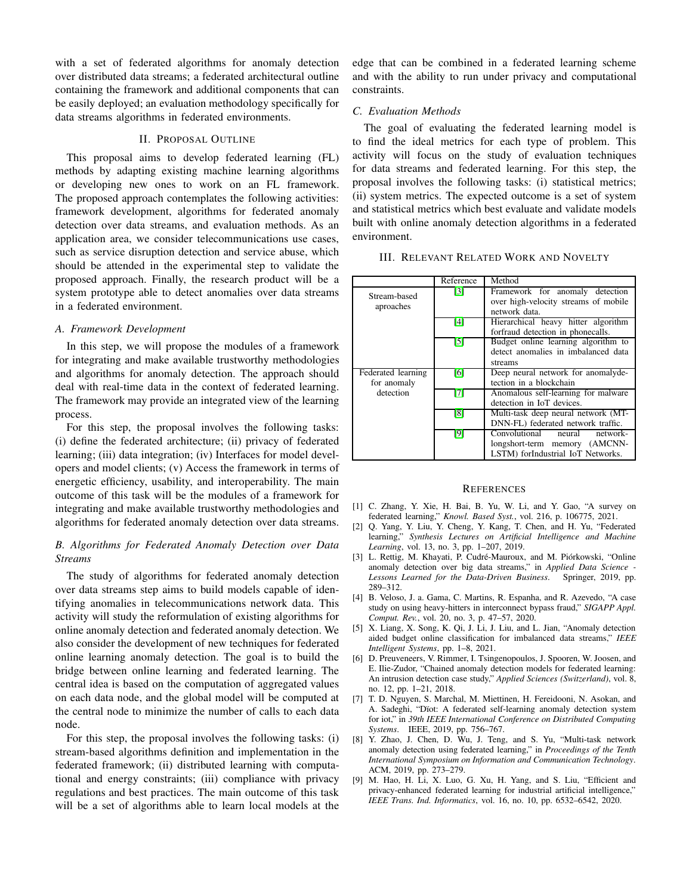with a set of federated algorithms for anomaly detection over distributed data streams; a federated architectural outline containing the framework and additional components that can be easily deployed; an evaluation methodology specifically for data streams algorithms in federated environments.

## II. PROPOSAL OUTLINE

This proposal aims to develop federated learning (FL) methods by adapting existing machine learning algorithms or developing new ones to work on an FL framework. The proposed approach contemplates the following activities: framework development, algorithms for federated anomaly detection over data streams, and evaluation methods. As an application area, we consider telecommunications use cases, such as service disruption detection and service abuse, which should be attended in the experimental step to validate the proposed approach. Finally, the research product will be a system prototype able to detect anomalies over data streams in a federated environment.

## *A. Framework Development*

In this step, we will propose the modules of a framework for integrating and make available trustworthy methodologies and algorithms for anomaly detection. The approach should deal with real-time data in the context of federated learning. The framework may provide an integrated view of the learning process.

For this step, the proposal involves the following tasks: (i) define the federated architecture; (ii) privacy of federated learning; (iii) data integration; (iv) Interfaces for model developers and model clients; (v) Access the framework in terms of energetic efficiency, usability, and interoperability. The main outcome of this task will be the modules of a framework for integrating and make available trustworthy methodologies and algorithms for federated anomaly detection over data streams.

## *B. Algorithms for Federated Anomaly Detection over Data Streams*

The study of algorithms for federated anomaly detection over data streams step aims to build models capable of identifying anomalies in telecommunications network data. This activity will study the reformulation of existing algorithms for online anomaly detection and federated anomaly detection. We also consider the development of new techniques for federated online learning anomaly detection. The goal is to build the bridge between online learning and federated learning. The central idea is based on the computation of aggregated values on each data node, and the global model will be computed at the central node to minimize the number of calls to each data node.

For this step, the proposal involves the following tasks: (i) stream-based algorithms definition and implementation in the federated framework; (ii) distributed learning with computational and energy constraints; (iii) compliance with privacy regulations and best practices. The main outcome of this task will be a set of algorithms able to learn local models at the edge that can be combined in a federated learning scheme and with the ability to run under privacy and computational constraints.

## *C. Evaluation Methods*

The goal of evaluating the federated learning model is to find the ideal metrics for each type of problem. This activity will focus on the study of evaluation techniques for data streams and federated learning. For this step, the proposal involves the following tasks: (i) statistical metrics; (ii) system metrics. The expected outcome is a set of system and statistical metrics which best evaluate and validate models built with online anomaly detection algorithms in a federated environment.

|                                   | Reference         | Method                                                                                                      |
|-----------------------------------|-------------------|-------------------------------------------------------------------------------------------------------------|
| Stream-based<br>aproaches         | $\lceil 3 \rceil$ | Framework for anomaly detection<br>over high-velocity streams of mobile<br>network data.                    |
|                                   | [4]               | Hierarchical heavy hitter algorithm<br>forfraud detection in phonecalls.                                    |
|                                   | [5]               | Budget online learning algorithm to<br>detect anomalies in imbalanced data<br>streams                       |
| Federated learning<br>for anomaly | [6]               | Deep neural network for anomalyde-<br>tection in a blockchain                                               |
| detection                         | $\overline{17}$   | Anomalous self-learning for malware<br>detection in IoT devices.                                            |
|                                   | $\lceil 8 \rceil$ | Multi-task deep neural network (MT-<br>DNN-FL) federated network traffic.                                   |
|                                   | [9]               | Convolutional<br>neural<br>$network-$<br>longshort-term memory (AMCNN-<br>LSTM) forIndustrial IoT Networks. |

#### **REFERENCES**

- [1] C. Zhang, Y. Xie, H. Bai, B. Yu, W. Li, and Y. Gao, "A survey on federated learning," *Knowl. Based Syst.*, vol. 216, p. 106775, 2021.
- <span id="page-1-0"></span>[2] Q. Yang, Y. Liu, Y. Cheng, Y. Kang, T. Chen, and H. Yu, "Federated learning," *Synthesis Lectures on Artificial Intelligence and Machine Learning*, vol. 13, no. 3, pp. 1–207, 2019.
- <span id="page-1-1"></span>[3] L. Rettig, M. Khayati, P. Cudré-Mauroux, and M. Piórkowski, "Online anomaly detection over big data streams," in *Applied Data Science - Lessons Learned for the Data-Driven Business*. Springer, 2019, pp. 289–312.
- <span id="page-1-2"></span>[4] B. Veloso, J. a. Gama, C. Martins, R. Espanha, and R. Azevedo, "A case study on using heavy-hitters in interconnect bypass fraud," *SIGAPP Appl. Comput. Rev.*, vol. 20, no. 3, p. 47–57, 2020.
- <span id="page-1-3"></span>[5] X. Liang, X. Song, K. Qi, J. Li, J. Liu, and L. Jian, "Anomaly detection aided budget online classification for imbalanced data streams," *IEEE Intelligent Systems*, pp. 1–8, 2021.
- <span id="page-1-4"></span>[6] D. Preuveneers, V. Rimmer, I. Tsingenopoulos, J. Spooren, W. Joosen, and E. Ilie-Zudor, "Chained anomaly detection models for federated learning: An intrusion detection case study," *Applied Sciences (Switzerland)*, vol. 8, no. 12, pp. 1–21, 2018.
- <span id="page-1-5"></span>[7] T. D. Nguyen, S. Marchal, M. Miettinen, H. Fereidooni, N. Asokan, and A. Sadeghi, "Dïot: A federated self-learning anomaly detection system for iot," in *39th IEEE International Conference on Distributed Computing Systems*. IEEE, 2019, pp. 756–767.
- <span id="page-1-6"></span>[8] Y. Zhao, J. Chen, D. Wu, J. Teng, and S. Yu, "Multi-task network anomaly detection using federated learning," in *Proceedings of the Tenth International Symposium on Information and Communication Technology*. ACM, 2019, pp. 273–279.
- <span id="page-1-7"></span>[9] M. Hao, H. Li, X. Luo, G. Xu, H. Yang, and S. Liu, "Efficient and privacy-enhanced federated learning for industrial artificial intelligence," *IEEE Trans. Ind. Informatics*, vol. 16, no. 10, pp. 6532–6542, 2020.